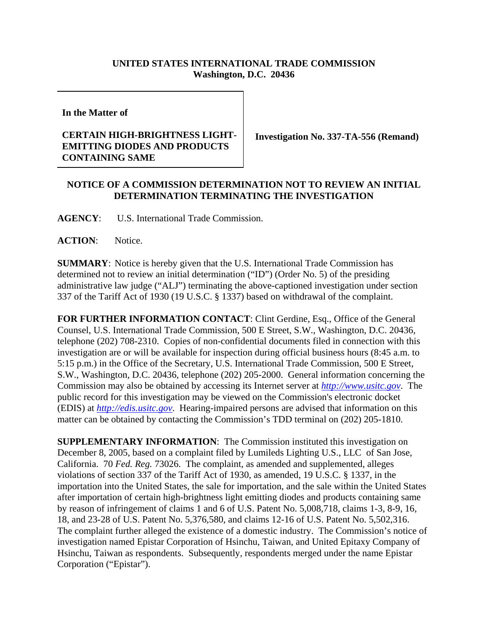## **UNITED STATES INTERNATIONAL TRADE COMMISSION Washington, D.C. 20436**

**In the Matter of** 

## **CERTAIN HIGH-BRIGHTNESS LIGHT-EMITTING DIODES AND PRODUCTS CONTAINING SAME**

**Investigation No. 337-TA-556 (Remand)**

## **NOTICE OF A COMMISSION DETERMINATION NOT TO REVIEW AN INITIAL DETERMINATION TERMINATING THE INVESTIGATION**

**AGENCY**: U.S. International Trade Commission.

**ACTION**: Notice.

**SUMMARY**: Notice is hereby given that the U.S. International Trade Commission has determined not to review an initial determination ("ID") (Order No. 5) of the presiding administrative law judge ("ALJ") terminating the above-captioned investigation under section 337 of the Tariff Act of 1930 (19 U.S.C. § 1337) based on withdrawal of the complaint.

**FOR FURTHER INFORMATION CONTACT**: Clint Gerdine, Esq., Office of the General Counsel, U.S. International Trade Commission, 500 E Street, S.W., Washington, D.C. 20436, telephone (202) 708-2310. Copies of non-confidential documents filed in connection with this investigation are or will be available for inspection during official business hours (8:45 a.m. to 5:15 p.m.) in the Office of the Secretary, U.S. International Trade Commission, 500 E Street, S.W., Washington, D.C. 20436, telephone (202) 205-2000. General information concerning the Commission may also be obtained by accessing its Internet server at *http://www.usitc.gov*. The public record for this investigation may be viewed on the Commission's electronic docket (EDIS) at *http://edis.usitc.gov*. Hearing-impaired persons are advised that information on this matter can be obtained by contacting the Commission's TDD terminal on (202) 205-1810.

**SUPPLEMENTARY INFORMATION**: The Commission instituted this investigation on December 8, 2005, based on a complaint filed by Lumileds Lighting U.S., LLC of San Jose, California. 70 *Fed. Reg.* 73026. The complaint, as amended and supplemented, alleges violations of section 337 of the Tariff Act of 1930, as amended, 19 U.S.C. § 1337, in the importation into the United States, the sale for importation, and the sale within the United States after importation of certain high-brightness light emitting diodes and products containing same by reason of infringement of claims 1 and 6 of U.S. Patent No. 5,008,718, claims 1-3, 8-9, 16, 18, and 23-28 of U.S. Patent No. 5,376,580, and claims 12-16 of U.S. Patent No. 5,502,316. The complaint further alleged the existence of a domestic industry. The Commission's notice of investigation named Epistar Corporation of Hsinchu, Taiwan, and United Epitaxy Company of Hsinchu, Taiwan as respondents. Subsequently, respondents merged under the name Epistar Corporation ("Epistar").